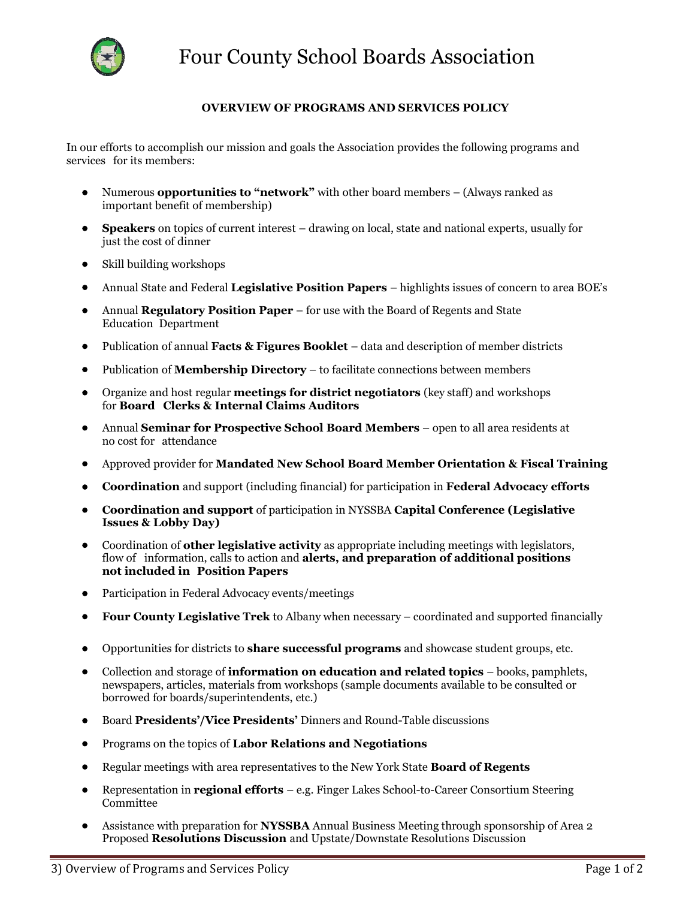

## **OVERVIEW OF PROGRAMS AND SERVICES POLICY**

In our efforts to accomplish our mission and goals the Association provides the following programs and services for its members:

- Numerous **opportunities to "network"** with other board members (Always ranked as important benefit of membership)
- **Speakers** on topics of current interest drawing on local, state and national experts, usually for just the cost of dinner
- Skill building workshops
- Annual State and Federal **Legislative Position Papers** highlights issues of concern to area BOE's
- Annual **Regulatory Position Paper** for use with the Board of Regents and State Education Department
- Publication of annual **Facts & Figures Booklet**  data and description of member districts
- Publication of **Membership Directory** to facilitate connections between members
- Organize and host regular **meetings for district negotiators** (key staff) and workshops for **Board Clerks & Internal Claims Auditors**
- Annual **Seminar for Prospective School Board Members** open to all area residents at no cost for attendance
- Approved provider for **Mandated New School Board Member Orientation & Fiscal Training**
- **Coordination** and support (including financial) for participation in **Federal Advocacy efforts**
- **Coordination and support** of participation in NYSSBA **Capital Conference (Legislative Issues & Lobby Day)**
- Coordination of **other legislative activity** as appropriate including meetings with legislators, flow of information, calls to action and **alerts, and preparation of additional positions not included in Position Papers**
- Participation in Federal Advocacy events/meetings
- **Four County Legislative Trek** to Albany when necessary coordinated and supported financially
- Opportunities for districts to **share successful programs** and showcase student groups, etc.
- Collection and storage of **information on education and related topics** books, pamphlets, newspapers, articles, materials from workshops (sample documents available to be consulted or borrowed for boards/superintendents, etc.)
- Board **Presidents'/Vice Presidents'** Dinners and Round-Table discussions
- Programs on the topics of **Labor Relations and Negotiations**
- Regular meetings with area representatives to the New York State **Board of Regents**
- Representation in **regional efforts**  e.g. Finger Lakes School-to-Career Consortium Steering Committee
- Assistance with preparation for **NYSSBA** Annual Business Meeting through sponsorship of Area 2 Proposed **Resolutions Discussion** and Upstate/Downstate Resolutions Discussion